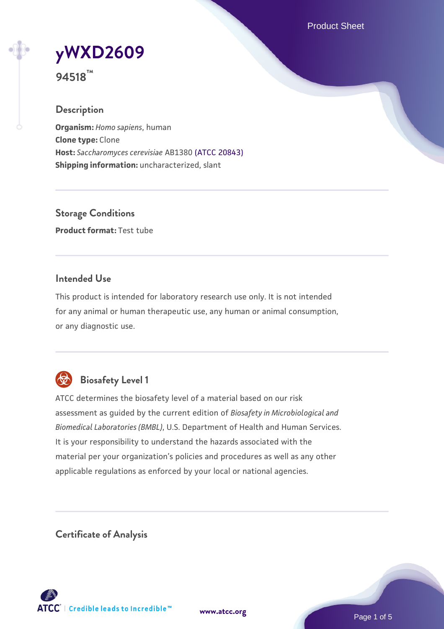Product Sheet

# **[yWXD2609](https://www.atcc.org/products/94518)**

**94518™**

# **Description**

**Organism:** *Homo sapiens*, human **Clone type:** Clone **Host:** *Saccharomyces cerevisiae* AB1380 [\(ATCC 20843\)](https://www.atcc.org/products/20843) **Shipping information:** uncharacterized, slant

**Storage Conditions Product format:** Test tube

#### **Intended Use**

This product is intended for laboratory research use only. It is not intended for any animal or human therapeutic use, any human or animal consumption, or any diagnostic use.



# **Biosafety Level 1**

ATCC determines the biosafety level of a material based on our risk assessment as guided by the current edition of *Biosafety in Microbiological and Biomedical Laboratories (BMBL)*, U.S. Department of Health and Human Services. It is your responsibility to understand the hazards associated with the material per your organization's policies and procedures as well as any other applicable regulations as enforced by your local or national agencies.

**Certificate of Analysis**

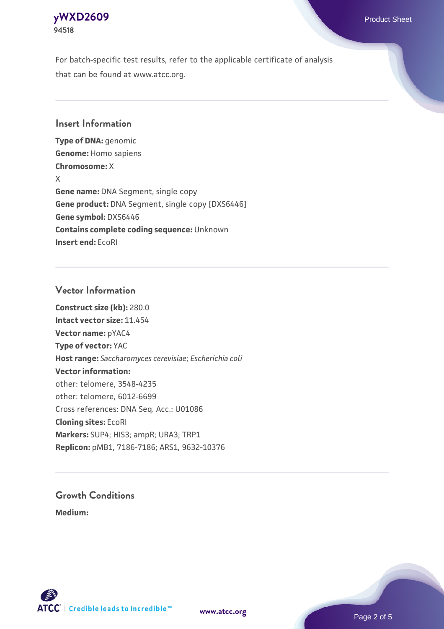

For batch-specific test results, refer to the applicable certificate of analysis that can be found at www.atcc.org.

#### **Insert Information**

**Type of DNA:** genomic **Genome:** Homo sapiens **Chromosome:** X X **Gene name:** DNA Segment, single copy **Gene product:** DNA Segment, single copy [DXS6446] **Gene symbol:** DXS6446 **Contains complete coding sequence:** Unknown **Insert end:** EcoRI

#### **Vector Information**

**Construct size (kb):** 280.0 **Intact vector size:** 11.454 **Vector name:** pYAC4 **Type of vector:** YAC **Host range:** *Saccharomyces cerevisiae*; *Escherichia coli* **Vector information:** other: telomere, 3548-4235 other: telomere, 6012-6699 Cross references: DNA Seq. Acc.: U01086 **Cloning sites:** EcoRI **Markers:** SUP4; HIS3; ampR; URA3; TRP1 **Replicon:** pMB1, 7186-7186; ARS1, 9632-10376

# **Growth Conditions**

**Medium:** 





Page 2 of 5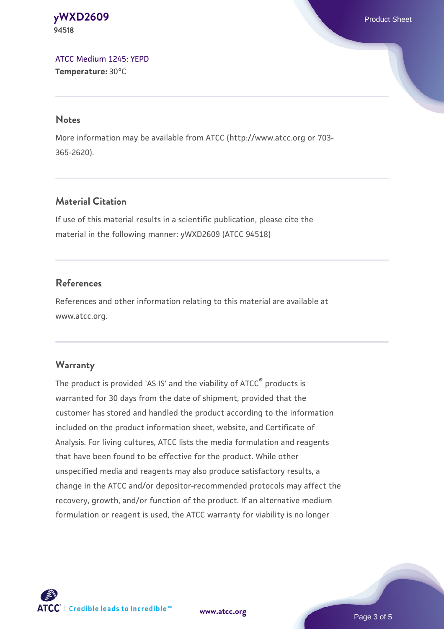**[yWXD2609](https://www.atcc.org/products/94518)** Product Sheet **94518**

[ATCC Medium 1245: YEPD](https://www.atcc.org/-/media/product-assets/documents/microbial-media-formulations/1/2/4/5/atcc-medium-1245.pdf?rev=705ca55d1b6f490a808a965d5c072196) **Temperature:** 30°C

#### **Notes**

More information may be available from ATCC (http://www.atcc.org or 703- 365-2620).

## **Material Citation**

If use of this material results in a scientific publication, please cite the material in the following manner: yWXD2609 (ATCC 94518)

#### **References**

References and other information relating to this material are available at www.atcc.org.

#### **Warranty**

The product is provided 'AS IS' and the viability of ATCC® products is warranted for 30 days from the date of shipment, provided that the customer has stored and handled the product according to the information included on the product information sheet, website, and Certificate of Analysis. For living cultures, ATCC lists the media formulation and reagents that have been found to be effective for the product. While other unspecified media and reagents may also produce satisfactory results, a change in the ATCC and/or depositor-recommended protocols may affect the recovery, growth, and/or function of the product. If an alternative medium formulation or reagent is used, the ATCC warranty for viability is no longer



**[www.atcc.org](http://www.atcc.org)**

Page 3 of 5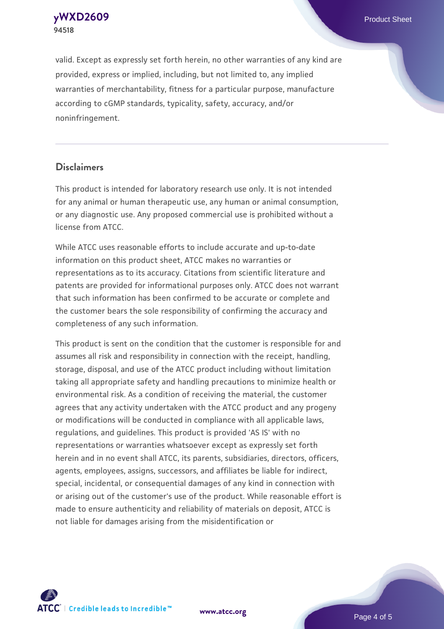**[yWXD2609](https://www.atcc.org/products/94518)** Product Sheet **94518**

valid. Except as expressly set forth herein, no other warranties of any kind are provided, express or implied, including, but not limited to, any implied warranties of merchantability, fitness for a particular purpose, manufacture according to cGMP standards, typicality, safety, accuracy, and/or noninfringement.

#### **Disclaimers**

This product is intended for laboratory research use only. It is not intended for any animal or human therapeutic use, any human or animal consumption, or any diagnostic use. Any proposed commercial use is prohibited without a license from ATCC.

While ATCC uses reasonable efforts to include accurate and up-to-date information on this product sheet, ATCC makes no warranties or representations as to its accuracy. Citations from scientific literature and patents are provided for informational purposes only. ATCC does not warrant that such information has been confirmed to be accurate or complete and the customer bears the sole responsibility of confirming the accuracy and completeness of any such information.

This product is sent on the condition that the customer is responsible for and assumes all risk and responsibility in connection with the receipt, handling, storage, disposal, and use of the ATCC product including without limitation taking all appropriate safety and handling precautions to minimize health or environmental risk. As a condition of receiving the material, the customer agrees that any activity undertaken with the ATCC product and any progeny or modifications will be conducted in compliance with all applicable laws, regulations, and guidelines. This product is provided 'AS IS' with no representations or warranties whatsoever except as expressly set forth herein and in no event shall ATCC, its parents, subsidiaries, directors, officers, agents, employees, assigns, successors, and affiliates be liable for indirect, special, incidental, or consequential damages of any kind in connection with or arising out of the customer's use of the product. While reasonable effort is made to ensure authenticity and reliability of materials on deposit, ATCC is not liable for damages arising from the misidentification or



**[www.atcc.org](http://www.atcc.org)**

Page 4 of 5